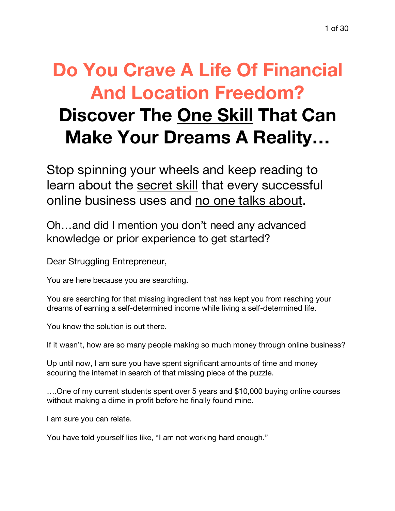# **Do You Crave A Life Of Financial And Location Freedom? Discover The One Skill That Can Make Your Dreams A Reality…**

Stop spinning your wheels and keep reading to learn about the secret skill that every successful online business uses and no one talks about.

Oh…and did I mention you don't need any advanced knowledge or prior experience to get started?

Dear Struggling Entrepreneur,

You are here because you are searching.

You are searching for that missing ingredient that has kept you from reaching your dreams of earning a self-determined income while living a self-determined life.

You know the solution is out there.

If it wasn't, how are so many people making so much money through online business?

Up until now, I am sure you have spent significant amounts of time and money scouring the internet in search of that missing piece of the puzzle.

….One of my current students spent over 5 years and \$10,000 buying online courses without making a dime in profit before he finally found mine.

I am sure you can relate.

You have told yourself lies like, "I am not working hard enough."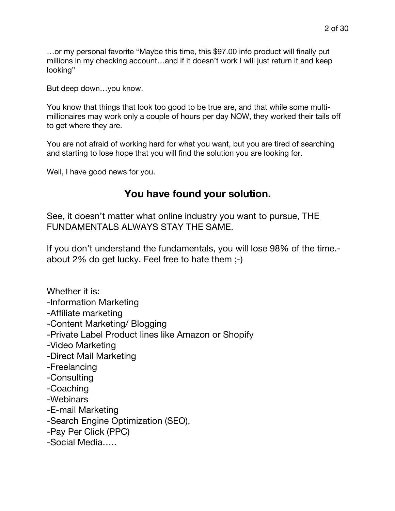…or my personal favorite "Maybe this time, this \$97.00 info product will finally put millions in my checking account…and if it doesn't work I will just return it and keep looking"

But deep down…you know.

You know that things that look too good to be true are, and that while some multimillionaires may work only a couple of hours per day NOW, they worked their tails off to get where they are.

You are not afraid of working hard for what you want, but you are tired of searching and starting to lose hope that you will find the solution you are looking for.

Well, I have good news for you.

# **You have found your solution.**

See, it doesn't matter what online industry you want to pursue, THE FUNDAMENTALS ALWAYS STAY THE SAME.

If you don't understand the fundamentals, you will lose 98% of the time. about 2% do get lucky. Feel free to hate them ;-)

Whether it is: -Information Marketing -Affiliate marketing -Content Marketing/ Blogging -Private Label Product lines like Amazon or Shopify -Video Marketing -Direct Mail Marketing -Freelancing -Consulting -Coaching -Webinars -E-mail Marketing -Search Engine Optimization (SEO), -Pay Per Click (PPC)

-Social Media…..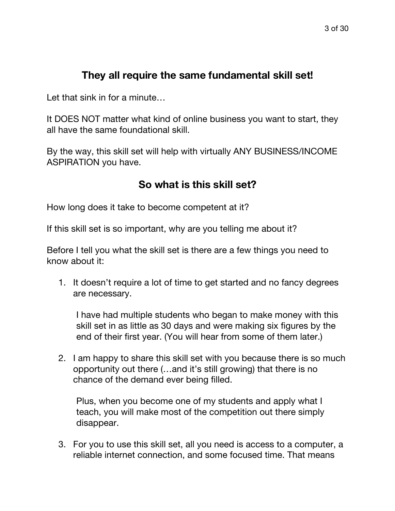# **They all require the same fundamental skill set!**

Let that sink in for a minute...

It DOES NOT matter what kind of online business you want to start, they all have the same foundational skill.

By the way, this skill set will help with virtually ANY BUSINESS/INCOME ASPIRATION you have.

# **So what is this skill set?**

How long does it take to become competent at it?

If this skill set is so important, why are you telling me about it?

Before I tell you what the skill set is there are a few things you need to know about it:

1. It doesn't require a lot of time to get started and no fancy degrees are necessary.

I have had multiple students who began to make money with this skill set in as little as 30 days and were making six figures by the end of their first year. (You will hear from some of them later.)

2. I am happy to share this skill set with you because there is so much opportunity out there (…and it's still growing) that there is no chance of the demand ever being filled.

Plus, when you become one of my students and apply what I teach, you will make most of the competition out there simply disappear.

3. For you to use this skill set, all you need is access to a computer, a reliable internet connection, and some focused time. That means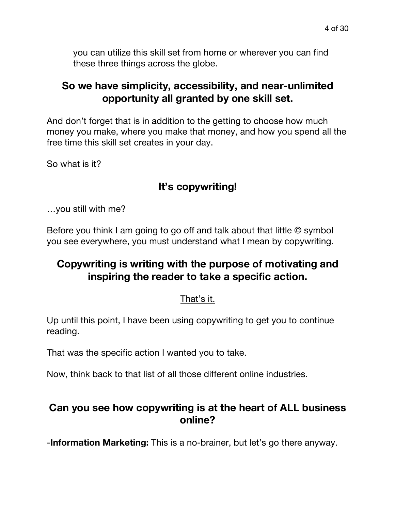you can utilize this skill set from home or wherever you can find these three things across the globe.

# **So we have simplicity, accessibility, and near-unlimited opportunity all granted by one skill set.**

And don't forget that is in addition to the getting to choose how much money you make, where you make that money, and how you spend all the free time this skill set creates in your day.

So what is it?

# **It's copywriting!**

…you still with me?

Before you think I am going to go off and talk about that little © symbol you see everywhere, you must understand what I mean by copywriting.

# **Copywriting is writing with the purpose of motivating and inspiring the reader to take a specific action.**

#### That's it.

Up until this point, I have been using copywriting to get you to continue reading.

That was the specific action I wanted you to take.

Now, think back to that list of all those different online industries.

# **Can you see how copywriting is at the heart of ALL business online?**

-**Information Marketing:** This is a no-brainer, but let's go there anyway.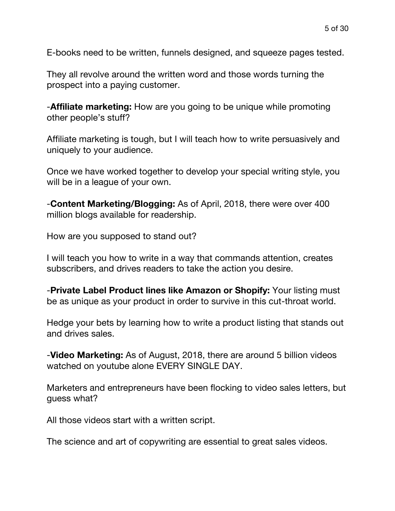E-books need to be written, funnels designed, and squeeze pages tested.

They all revolve around the written word and those words turning the prospect into a paying customer.

-**Affiliate marketing:** How are you going to be unique while promoting other people's stuff?

Affiliate marketing is tough, but I will teach how to write persuasively and uniquely to your audience.

Once we have worked together to develop your special writing style, you will be in a league of your own.

-**Content Marketing/Blogging:** As of April, 2018, there were over 400 million blogs available for readership.

How are you supposed to stand out?

I will teach you how to write in a way that commands attention, creates subscribers, and drives readers to take the action you desire.

-**Private Label Product lines like Amazon or Shopify:** Your listing must be as unique as your product in order to survive in this cut-throat world.

Hedge your bets by learning how to write a product listing that stands out and drives sales.

-**Video Marketing:** As of August, 2018, there are around 5 billion videos watched on youtube alone EVERY SINGLE DAY.

Marketers and entrepreneurs have been flocking to video sales letters, but guess what?

All those videos start with a written script.

The science and art of copywriting are essential to great sales videos.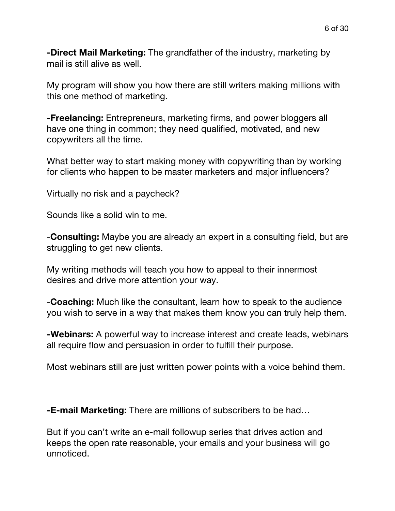**-Direct Mail Marketing:** The grandfather of the industry, marketing by mail is still alive as well.

My program will show you how there are still writers making millions with this one method of marketing.

**-Freelancing:** Entrepreneurs, marketing firms, and power bloggers all have one thing in common; they need qualified, motivated, and new copywriters all the time.

What better way to start making money with copywriting than by working for clients who happen to be master marketers and major influencers?

Virtually no risk and a paycheck?

Sounds like a solid win to me.

-**Consulting:** Maybe you are already an expert in a consulting field, but are struggling to get new clients.

My writing methods will teach you how to appeal to their innermost desires and drive more attention your way.

-**Coaching:** Much like the consultant, learn how to speak to the audience you wish to serve in a way that makes them know you can truly help them.

**-Webinars:** A powerful way to increase interest and create leads, webinars all require flow and persuasion in order to fulfill their purpose.

Most webinars still are just written power points with a voice behind them.

**-E-mail Marketing:** There are millions of subscribers to be had…

But if you can't write an e-mail followup series that drives action and keeps the open rate reasonable, your emails and your business will go unnoticed.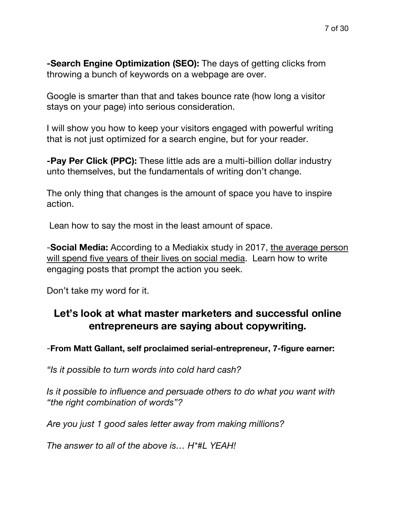**-Search Engine Optimization (SEO):** The days of getting clicks from throwing a bunch of keywords on a webpage are over.

Google is smarter than that and takes bounce rate (how long a visitor stays on your page) into serious consideration.

I will show you how to keep your visitors engaged with powerful writing that is not just optimized for a search engine, but for your reader.

**-Pay Per Click (PPC):** These little ads are a multi-billion dollar industry unto themselves, but the fundamentals of writing don't change.

The only thing that changes is the amount of space you have to inspire action.

Lean how to say the most in the least amount of space.

-**Social Media:** According to a Mediakix study in 2017, the average person will spend five years of their lives on social media. Learn how to write engaging posts that prompt the action you seek.

Don't take my word for it.

# **Let's look at what master marketers and successful online entrepreneurs are saying about copywriting.**

-**From Matt Gallant, self proclaimed serial-entrepreneur, 7-figure earner:**

*"Is it possible to turn words into cold hard cash?*

*Is it possible to influence and persuade others to do what you want with "the right combination of words"?*

*Are you just 1 good sales letter away from making millions?*

*The answer to all of the above is… H\*#L YEAH!*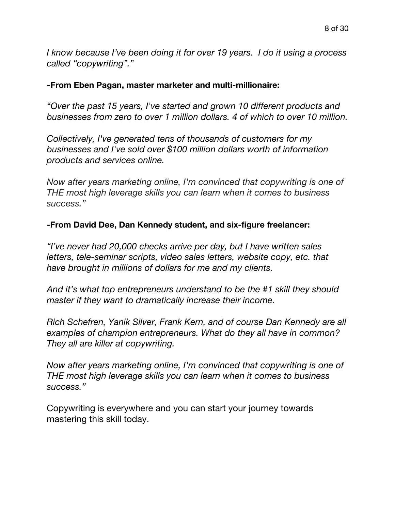*I know because I've been doing it for over 19 years. I do it using a process called "copywriting"."*

#### **-From Eben Pagan, master marketer and multi-millionaire:**

*"Over the past 15 years, I've started and grown 10 different products and businesses from zero to over 1 million dollars. 4 of which to over 10 million.*

*Collectively, I've generated tens of thousands of customers for my businesses and I've sold over \$100 million dollars worth of information products and services online.*

*Now after years marketing online, I'm convinced that copywriting is one of THE most high leverage skills you can learn when it comes to business success."*

#### **-From David Dee, Dan Kennedy student, and six-figure freelancer:**

*"I've never had 20,000 checks arrive per day, but I have written sales letters, tele-seminar scripts, video sales letters, website copy, etc. that have brought in millions of dollars for me and my clients.*

*And it's what top entrepreneurs understand to be the #1 skill they should master if they want to dramatically increase their income.*

*Rich Schefren, Yanik Silver, Frank Kern, and of course Dan Kennedy are all examples of champion entrepreneurs. What do they all have in common? They all are killer at copywriting.*

*Now after years marketing online, I'm convinced that copywriting is one of THE most high leverage skills you can learn when it comes to business success."*

Copywriting is everywhere and you can start your journey towards mastering this skill today.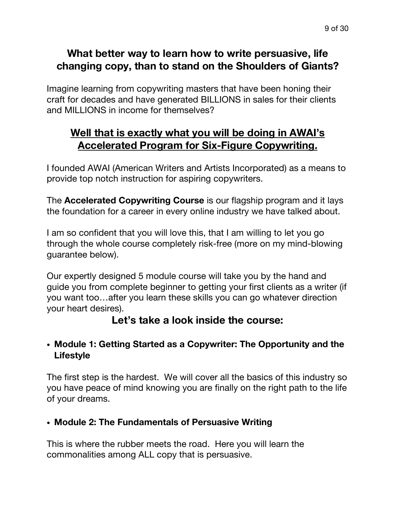# **What better way to learn how to write persuasive, life changing copy, than to stand on the Shoulders of Giants?**

Imagine learning from copywriting masters that have been honing their craft for decades and have generated BILLIONS in sales for their clients and MILLIONS in income for themselves?

# **Well that is exactly what you will be doing in AWAI's Accelerated Program for Six-Figure Copywriting.**

I founded AWAI (American Writers and Artists Incorporated) as a means to provide top notch instruction for aspiring copywriters.

The **Accelerated Copywriting Course** is our flagship program and it lays the foundation for a career in every online industry we have talked about.

I am so confident that you will love this, that I am willing to let you go through the whole course completely risk-free (more on my mind-blowing guarantee below).

Our expertly designed 5 module course will take you by the hand and guide you from complete beginner to getting your first clients as a writer (if you want too…after you learn these skills you can go whatever direction your heart desires).

# **Let's take a look inside the course:**

#### ! **Module 1: Getting Started as a Copywriter: The Opportunity and the Lifestyle**

The first step is the hardest. We will cover all the basics of this industry so you have peace of mind knowing you are finally on the right path to the life of your dreams.

#### ! **Module 2: The Fundamentals of Persuasive Writing**

This is where the rubber meets the road. Here you will learn the commonalities among ALL copy that is persuasive.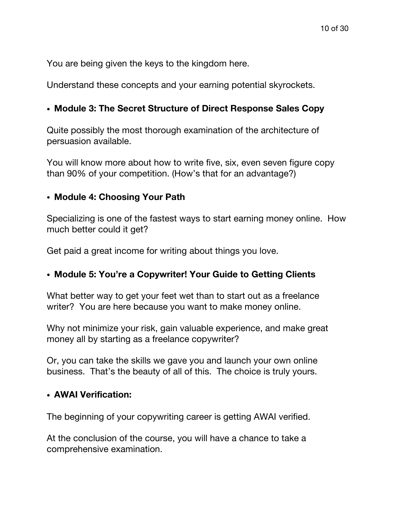You are being given the keys to the kingdom here.

Understand these concepts and your earning potential skyrockets.

#### ! **Module 3: The Secret Structure of Direct Response Sales Copy**

Quite possibly the most thorough examination of the architecture of persuasion available.

You will know more about how to write five, six, even seven figure copy than 90% of your competition. (How's that for an advantage?)

#### ! **Module 4: Choosing Your Path**

Specializing is one of the fastest ways to start earning money online. How much better could it get?

Get paid a great income for writing about things you love.

#### ! **Module 5: You're a Copywriter! Your Guide to Getting Clients**

What better way to get your feet wet than to start out as a freelance writer? You are here because you want to make money online.

Why not minimize your risk, gain valuable experience, and make great money all by starting as a freelance copywriter?

Or, you can take the skills we gave you and launch your own online business. That's the beauty of all of this. The choice is truly yours.

#### ! **AWAI Verification:**

The beginning of your copywriting career is getting AWAI verified.

At the conclusion of the course, you will have a chance to take a comprehensive examination.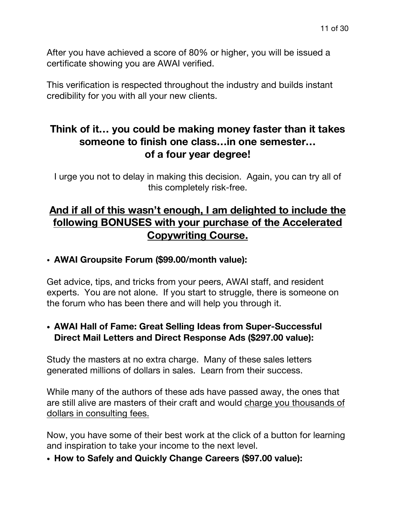After you have achieved a score of 80% or higher, you will be issued a certificate showing you are AWAI verified.

This verification is respected throughout the industry and builds instant credibility for you with all your new clients.

# **Think of it… you could be making money faster than it takes someone to finish one class…in one semester… of a four year degree!**

I urge you not to delay in making this decision. Again, you can try all of this completely risk-free.

# **And if all of this wasn't enough, I am delighted to include the following BONUSES with your purchase of the Accelerated Copywriting Course.**

#### ! **AWAI Groupsite Forum (\$99.00/month value):**

Get advice, tips, and tricks from your peers, AWAI staff, and resident experts. You are not alone. If you start to struggle, there is someone on the forum who has been there and will help you through it.

#### ! **AWAI Hall of Fame: Great Selling Ideas from Super-Successful Direct Mail Letters and Direct Response Ads (\$297.00 value):**

Study the masters at no extra charge. Many of these sales letters generated millions of dollars in sales. Learn from their success.

While many of the authors of these ads have passed away, the ones that are still alive are masters of their craft and would charge you thousands of dollars in consulting fees.

Now, you have some of their best work at the click of a button for learning and inspiration to take your income to the next level.

! **How to Safely and Quickly Change Careers (\$97.00 value):**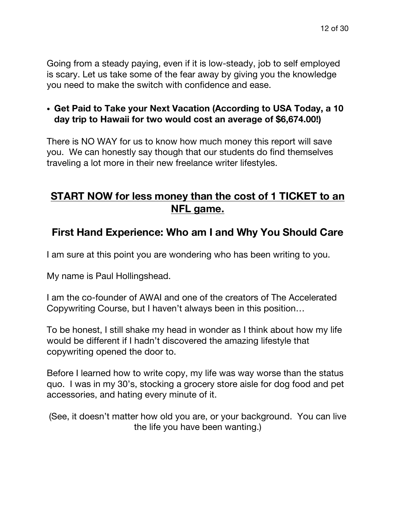Going from a steady paying, even if it is low-steady, job to self employed is scary. Let us take some of the fear away by giving you the knowledge you need to make the switch with confidence and ease.

#### ! **Get Paid to Take your Next Vacation (According to USA Today, a 10 day trip to Hawaii for two would cost an average of \$6,674.00!)**

There is NO WAY for us to know how much money this report will save you. We can honestly say though that our students do find themselves traveling a lot more in their new freelance writer lifestyles.

# **START NOW for less money than the cost of 1 TICKET to an NFL game.**

# **First Hand Experience: Who am I and Why You Should Care**

I am sure at this point you are wondering who has been writing to you.

My name is Paul Hollingshead.

I am the co-founder of AWAI and one of the creators of The Accelerated Copywriting Course, but I haven't always been in this position…

To be honest, I still shake my head in wonder as I think about how my life would be different if I hadn't discovered the amazing lifestyle that copywriting opened the door to.

Before I learned how to write copy, my life was way worse than the status quo. I was in my 30's, stocking a grocery store aisle for dog food and pet accessories, and hating every minute of it.

(See, it doesn't matter how old you are, or your background. You can live the life you have been wanting.)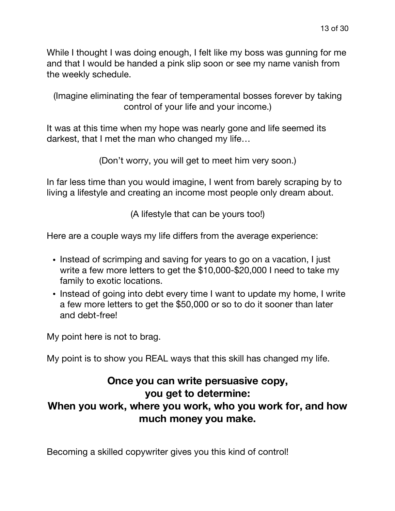While I thought I was doing enough, I felt like my boss was gunning for me and that I would be handed a pink slip soon or see my name vanish from the weekly schedule.

(Imagine eliminating the fear of temperamental bosses forever by taking control of your life and your income.)

It was at this time when my hope was nearly gone and life seemed its darkest, that I met the man who changed my life…

(Don't worry, you will get to meet him very soon.)

In far less time than you would imagine, I went from barely scraping by to living a lifestyle and creating an income most people only dream about.

(A lifestyle that can be yours too!)

Here are a couple ways my life differs from the average experience:

- . Instead of scrimping and saving for years to go on a vacation, I just write a few more letters to get the \$10,000-\$20,000 I need to take my family to exotic locations.
- Instead of going into debt every time I want to update my home, I write a few more letters to get the \$50,000 or so to do it sooner than later and debt-free!

My point here is not to brag.

My point is to show you REAL ways that this skill has changed my life.

# **Once you can write persuasive copy, you get to determine: When you work, where you work, who you work for, and how much money you make.**

Becoming a skilled copywriter gives you this kind of control!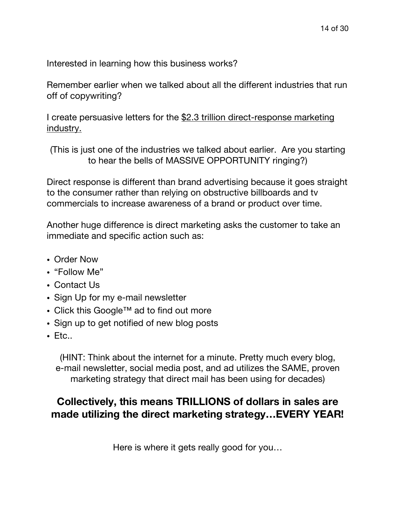Interested in learning how this business works?

Remember earlier when we talked about all the different industries that run off of copywriting?

I create persuasive letters for the \$2.3 trillion direct-response marketing industry.

(This is just one of the industries we talked about earlier. Are you starting to hear the bells of MASSIVE OPPORTUNITY ringing?)

Direct response is different than brand advertising because it goes straight to the consumer rather than relying on obstructive billboards and tv commercials to increase awareness of a brand or product over time.

Another huge difference is direct marketing asks the customer to take an immediate and specific action such as:

- Order Now
- "Follow Me"
- Contact Us
- Sign Up for my e-mail newsletter
- ! Click this Google™ ad to find out more
- Sign up to get notified of new blog posts
- $\cdot$  Ftc.

(HINT: Think about the internet for a minute. Pretty much every blog, e-mail newsletter, social media post, and ad utilizes the SAME, proven marketing strategy that direct mail has been using for decades)

# **Collectively, this means TRILLIONS of dollars in sales are made utilizing the direct marketing strategy…EVERY YEAR!**

Here is where it gets really good for you…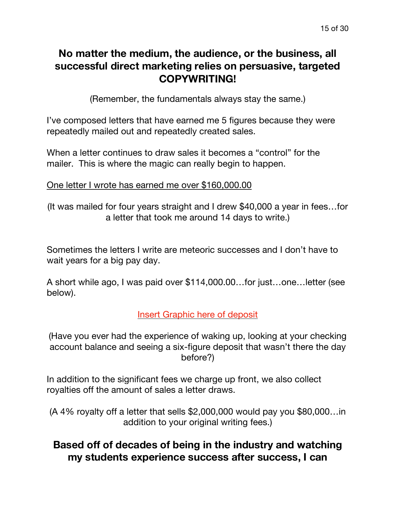# **No matter the medium, the audience, or the business, all successful direct marketing relies on persuasive, targeted COPYWRITING!**

(Remember, the fundamentals always stay the same.)

I've composed letters that have earned me 5 figures because they were repeatedly mailed out and repeatedly created sales.

When a letter continues to draw sales it becomes a "control" for the mailer. This is where the magic can really begin to happen.

#### One letter I wrote has earned me over \$160,000.00

(It was mailed for four years straight and I drew \$40,000 a year in fees…for a letter that took me around 14 days to write.)

Sometimes the letters I write are meteoric successes and I don't have to wait years for a big pay day.

A short while ago, I was paid over \$114,000.00…for just…one…letter (see below).

#### Insert Graphic here of deposit

(Have you ever had the experience of waking up, looking at your checking account balance and seeing a six-figure deposit that wasn't there the day before?)

In addition to the significant fees we charge up front, we also collect royalties off the amount of sales a letter draws.

(A 4% royalty off a letter that sells \$2,000,000 would pay you \$80,000…in addition to your original writing fees.)

# **Based off of decades of being in the industry and watching my students experience success after success, I can**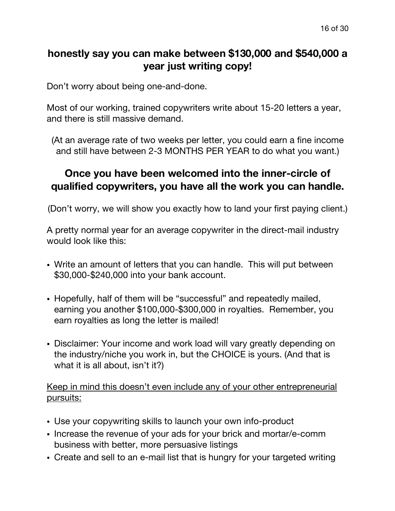# **honestly say you can make between \$130,000 and \$540,000 a year just writing copy!**

Don't worry about being one-and-done.

Most of our working, trained copywriters write about 15-20 letters a year, and there is still massive demand.

(At an average rate of two weeks per letter, you could earn a fine income and still have between 2-3 MONTHS PER YEAR to do what you want.)

# **Once you have been welcomed into the inner-circle of qualified copywriters, you have all the work you can handle.**

(Don't worry, we will show you exactly how to land your first paying client.)

A pretty normal year for an average copywriter in the direct-mail industry would look like this:

- ! Write an amount of letters that you can handle. This will put between \$30,000-\$240,000 into your bank account.
- Hopefully, half of them will be "successful" and repeatedly mailed, earning you another \$100,000-\$300,000 in royalties. Remember, you earn royalties as long the letter is mailed!
- ! Disclaimer: Your income and work load will vary greatly depending on the industry/niche you work in, but the CHOICE is yours. (And that is what it is all about, isn't it?)

Keep in mind this doesn't even include any of your other entrepreneurial pursuits:

- Use your copywriting skills to launch your own info-product
- ! Increase the revenue of your ads for your brick and mortar/e-comm business with better, more persuasive listings
- . Create and sell to an e-mail list that is hungry for your targeted writing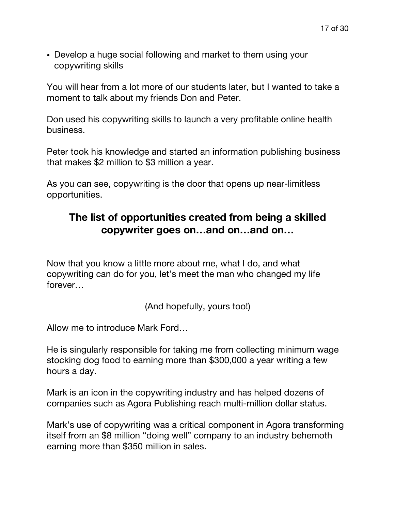• Develop a huge social following and market to them using your copywriting skills

You will hear from a lot more of our students later, but I wanted to take a moment to talk about my friends Don and Peter.

Don used his copywriting skills to launch a very profitable online health business.

Peter took his knowledge and started an information publishing business that makes \$2 million to \$3 million a year.

As you can see, copywriting is the door that opens up near-limitless opportunities.

### **The list of opportunities created from being a skilled copywriter goes on…and on…and on…**

Now that you know a little more about me, what I do, and what copywriting can do for you, let's meet the man who changed my life forever…

(And hopefully, yours too!)

Allow me to introduce Mark Ford…

He is singularly responsible for taking me from collecting minimum wage stocking dog food to earning more than \$300,000 a year writing a few hours a day.

Mark is an icon in the copywriting industry and has helped dozens of companies such as Agora Publishing reach multi-million dollar status.

Mark's use of copywriting was a critical component in Agora transforming itself from an \$8 million "doing well" company to an industry behemoth earning more than \$350 million in sales.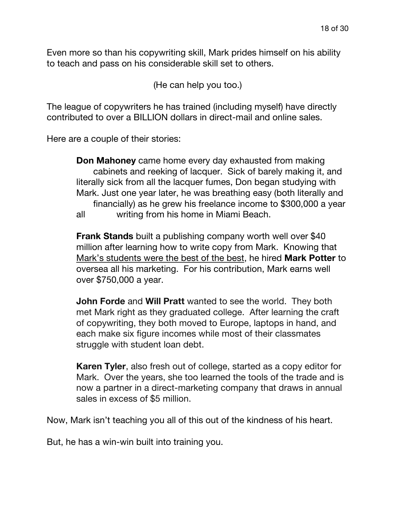Even more so than his copywriting skill, Mark prides himself on his ability to teach and pass on his considerable skill set to others.

(He can help you too.)

The league of copywriters he has trained (including myself) have directly contributed to over a BILLION dollars in direct-mail and online sales.

Here are a couple of their stories:

**Don Mahoney** came home every day exhausted from making cabinets and reeking of lacquer. Sick of barely making it, and literally sick from all the lacquer fumes, Don began studying with Mark. Just one year later, he was breathing easy (both literally and financially) as he grew his freelance income to \$300,000 a year all writing from his home in Miami Beach.

**Frank Stands** built a publishing company worth well over \$40 million after learning how to write copy from Mark. Knowing that Mark's students were the best of the best, he hired **Mark Potter** to oversea all his marketing. For his contribution, Mark earns well over \$750,000 a year.

**John Forde** and **Will Pratt** wanted to see the world. They both met Mark right as they graduated college. After learning the craft of copywriting, they both moved to Europe, laptops in hand, and each make six figure incomes while most of their classmates struggle with student loan debt.

**Karen Tyler**, also fresh out of college, started as a copy editor for Mark. Over the years, she too learned the tools of the trade and is now a partner in a direct-marketing company that draws in annual sales in excess of \$5 million.

Now, Mark isn't teaching you all of this out of the kindness of his heart.

But, he has a win-win built into training you.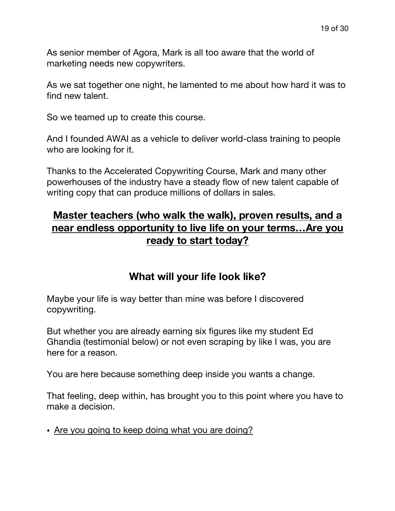As senior member of Agora, Mark is all too aware that the world of marketing needs new copywriters.

As we sat together one night, he lamented to me about how hard it was to find new talent.

So we teamed up to create this course.

And I founded AWAI as a vehicle to deliver world-class training to people who are looking for it.

Thanks to the Accelerated Copywriting Course, Mark and many other powerhouses of the industry have a steady flow of new talent capable of writing copy that can produce millions of dollars in sales.

# **Master teachers (who walk the walk), proven results, and a near endless opportunity to live life on your terms…Are you ready to start today?**

### **What will your life look like?**

Maybe your life is way better than mine was before I discovered copywriting.

But whether you are already earning six figures like my student Ed Ghandia (testimonial below) or not even scraping by like I was, you are here for a reason.

You are here because something deep inside you wants a change.

That feeling, deep within, has brought you to this point where you have to make a decision.

. Are you going to keep doing what you are doing?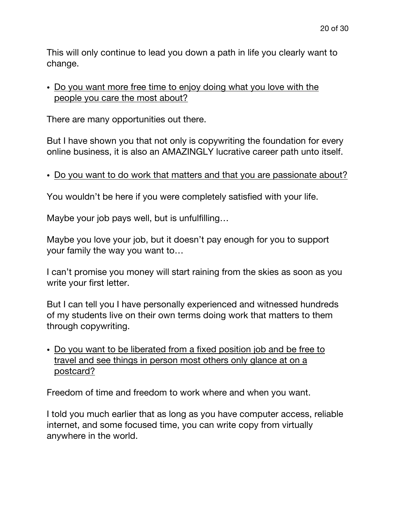This will only continue to lead you down a path in life you clearly want to change.

#### • Do you want more free time to enjoy doing what you love with the people you care the most about?

There are many opportunities out there.

But I have shown you that not only is copywriting the foundation for every online business, it is also an AMAZINGLY lucrative career path unto itself.

#### . Do you want to do work that matters and that you are passionate about?

You wouldn't be here if you were completely satisfied with your life.

Maybe your job pays well, but is unfulfilling…

Maybe you love your job, but it doesn't pay enough for you to support your family the way you want to…

I can't promise you money will start raining from the skies as soon as you write your first letter.

But I can tell you I have personally experienced and witnessed hundreds of my students live on their own terms doing work that matters to them through copywriting.

• Do you want to be liberated from a fixed position job and be free to travel and see things in person most others only glance at on a postcard?

Freedom of time and freedom to work where and when you want.

I told you much earlier that as long as you have computer access, reliable internet, and some focused time, you can write copy from virtually anywhere in the world.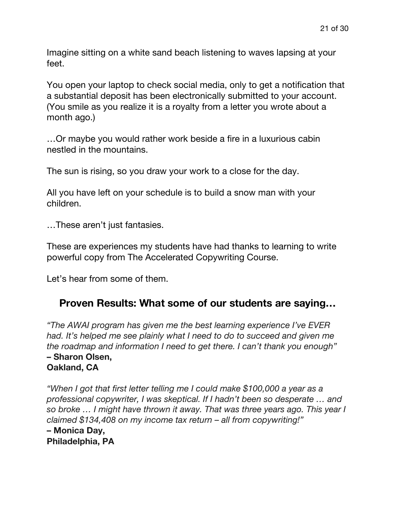Imagine sitting on a white sand beach listening to waves lapsing at your feet.

You open your laptop to check social media, only to get a notification that a substantial deposit has been electronically submitted to your account. (You smile as you realize it is a royalty from a letter you wrote about a month ago.)

…Or maybe you would rather work beside a fire in a luxurious cabin nestled in the mountains.

The sun is rising, so you draw your work to a close for the day.

All you have left on your schedule is to build a snow man with your children.

…These aren't just fantasies.

These are experiences my students have had thanks to learning to write powerful copy from The Accelerated Copywriting Course.

Let's hear from some of them.

#### **Proven Results: What some of our students are saying…**

*"The AWAI program has given me the best learning experience I've EVER had. It's helped me see plainly what I need to do to succeed and given me the roadmap and information I need to get there. I can't thank you enough"* **– Sharon Olsen, Oakland, CA**

*"When I got that first letter telling me I could make \$100,000 a year as a professional copywriter, I was skeptical. If I hadn't been so desperate … and so broke … I might have thrown it away. That was three years ago. This year I claimed \$134,408 on my income tax return – all from copywriting!"* **– Monica Day, Philadelphia, PA**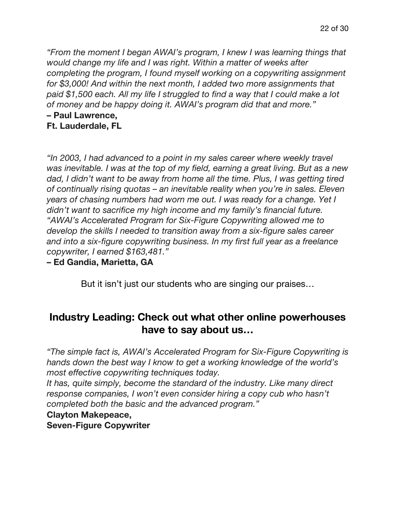*"From the moment I began AWAI's program, I knew I was learning things that would change my life and I was right. Within a matter of weeks after completing the program, I found myself working on a copywriting assignment for \$3,000! And within the next month, I added two more assignments that paid \$1,500 each. All my life I struggled to find a way that I could make a lot of money and be happy doing it. AWAI's program did that and more."*

### **– Paul Lawrence,**

**Ft. Lauderdale, FL**

*"In 2003, I had advanced to a point in my sales career where weekly travel was inevitable. I was at the top of my field, earning a great living. But as a new dad, I didn't want to be away from home all the time. Plus, I was getting tired of continually rising quotas – an inevitable reality when you're in sales. Eleven years of chasing numbers had worn me out. I was ready for a change. Yet I didn't want to sacrifice my high income and my family's financial future. "AWAI's Accelerated Program for Six-Figure Copywriting allowed me to develop the skills I needed to transition away from a six-figure sales career and into a six-figure copywriting business. In my first full year as a freelance copywriter, I earned \$163,481."*

**– Ed Gandia, Marietta, GA**

But it isn't just our students who are singing our praises…

# **Industry Leading: Check out what other online powerhouses have to say about us…**

*"The simple fact is, AWAI's Accelerated Program for Six-Figure Copywriting is hands down the best way I know to get a working knowledge of the world's most effective copywriting techniques today.*

*It has, quite simply, become the standard of the industry. Like many direct response companies, I won't even consider hiring a copy cub who hasn't completed both the basic and the advanced program."*

#### **Clayton Makepeace,**

**Seven-Figure Copywriter**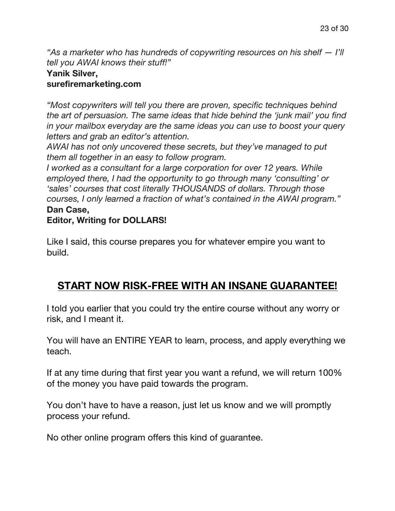*"As a marketer who has hundreds of copywriting resources on his shelf — I'll tell you AWAI knows their stuff!"*

# **Yanik Silver,**

#### **surefiremarketing.com**

*"Most copywriters will tell you there are proven, specific techniques behind the art of persuasion. The same ideas that hide behind the 'junk mail' you find in your mailbox everyday are the same ideas you can use to boost your query letters and grab an editor's attention.*

*AWAI has not only uncovered these secrets, but they've managed to put them all together in an easy to follow program.*

*I worked as a consultant for a large corporation for over 12 years. While employed there, I had the opportunity to go through many 'consulting' or 'sales' courses that cost literally THOUSANDS of dollars. Through those courses, I only learned a fraction of what's contained in the AWAI program."*

#### **Dan Case,**

#### **Editor, Writing for DOLLARS!**

Like I said, this course prepares you for whatever empire you want to build.

# **START NOW RISK-FREE WITH AN INSANE GUARANTEE!**

I told you earlier that you could try the entire course without any worry or risk, and I meant it.

You will have an ENTIRE YEAR to learn, process, and apply everything we teach.

If at any time during that first year you want a refund, we will return 100% of the money you have paid towards the program.

You don't have to have a reason, just let us know and we will promptly process your refund.

No other online program offers this kind of guarantee.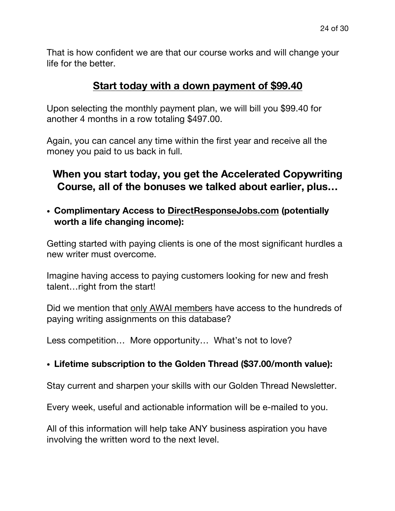That is how confident we are that our course works and will change your life for the better.

### **Start today with a down payment of \$99.40**

Upon selecting the monthly payment plan, we will bill you \$99.40 for another 4 months in a row totaling \$497.00.

Again, you can cancel any time within the first year and receive all the money you paid to us back in full.

# **When you start today, you get the Accelerated Copywriting Course, all of the bonuses we talked about earlier, plus…**

! **Complimentary Access to DirectResponseJobs.com (potentially worth a life changing income):**

Getting started with paying clients is one of the most significant hurdles a new writer must overcome.

Imagine having access to paying customers looking for new and fresh talent…right from the start!

Did we mention that only AWAI members have access to the hundreds of paying writing assignments on this database?

Less competition... More opportunity... What's not to love?

#### ! **Lifetime subscription to the Golden Thread (\$37.00/month value):**

Stay current and sharpen your skills with our Golden Thread Newsletter.

Every week, useful and actionable information will be e-mailed to you.

All of this information will help take ANY business aspiration you have involving the written word to the next level.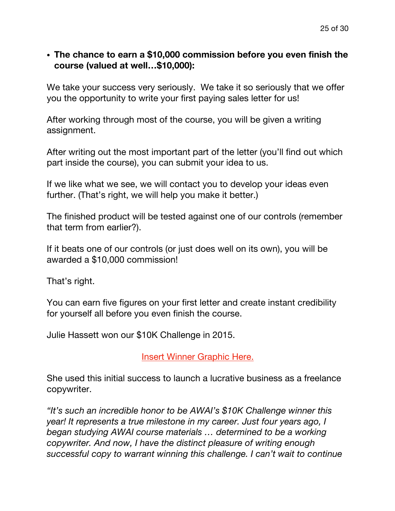#### ! **The chance to earn a \$10,000 commission before you even finish the course (valued at well…\$10,000):**

We take your success very seriously. We take it so seriously that we offer you the opportunity to write your first paying sales letter for us!

After working through most of the course, you will be given a writing assignment.

After writing out the most important part of the letter (you'll find out which part inside the course), you can submit your idea to us.

If we like what we see, we will contact you to develop your ideas even further. (That's right, we will help you make it better.)

The finished product will be tested against one of our controls (remember that term from earlier?).

If it beats one of our controls (or just does well on its own), you will be awarded a \$10,000 commission!

That's right.

You can earn five figures on your first letter and create instant credibility for yourself all before you even finish the course.

Julie Hassett won our \$10K Challenge in 2015.

Insert Winner Graphic Here.

She used this initial success to launch a lucrative business as a freelance copywriter.

*"It's such an incredible honor to be AWAI's \$10K Challenge winner this year! It represents a true milestone in my career. Just four years ago, I began studying AWAI course materials … determined to be a working copywriter. And now, I have the distinct pleasure of writing enough successful copy to warrant winning this challenge. I can't wait to continue*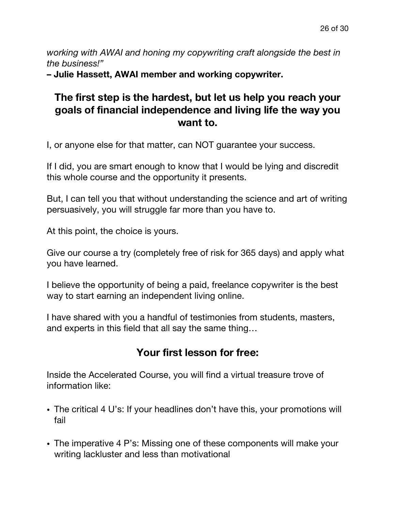*working with AWAI and honing my copywriting craft alongside the best in the business!"*

**– Julie Hassett, AWAI member and working copywriter.**

# **The first step is the hardest, but let us help you reach your goals of financial independence and living life the way you want to.**

I, or anyone else for that matter, can NOT guarantee your success.

If I did, you are smart enough to know that I would be lying and discredit this whole course and the opportunity it presents.

But, I can tell you that without understanding the science and art of writing persuasively, you will struggle far more than you have to.

At this point, the choice is yours.

Give our course a try (completely free of risk for 365 days) and apply what you have learned.

I believe the opportunity of being a paid, freelance copywriter is the best way to start earning an independent living online.

I have shared with you a handful of testimonies from students, masters, and experts in this field that all say the same thing…

# **Your first lesson for free:**

Inside the Accelerated Course, you will find a virtual treasure trove of information like:

- ! The critical 4 U's: If your headlines don't have this, your promotions will fail
- The imperative 4 P's: Missing one of these components will make your writing lackluster and less than motivational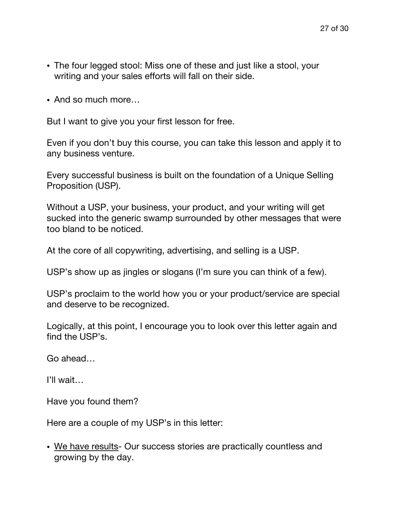- The four legged stool: Miss one of these and just like a stool, your writing and your sales efforts will fall on their side.
- And so much more...

But I want to give you your first lesson for free.

Even if you don't buy this course, you can take this lesson and apply it to any business venture.

Every successful business is built on the foundation of a Unique Selling Proposition (USP).

Without a USP, your business, your product, and your writing will get sucked into the generic swamp surrounded by other messages that were too bland to be noticed.

At the core of all copywriting, advertising, and selling is a USP.

USP's show up as jingles or slogans (I'm sure you can think of a few).

USP's proclaim to the world how you or your product/service are special and deserve to be recognized.

Logically, at this point, I encourage you to look over this letter again and find the USP's.

Go ahead…

I'll wait…

Have you found them?

Here are a couple of my USP's in this letter:

• We have results- Our success stories are practically countless and growing by the day.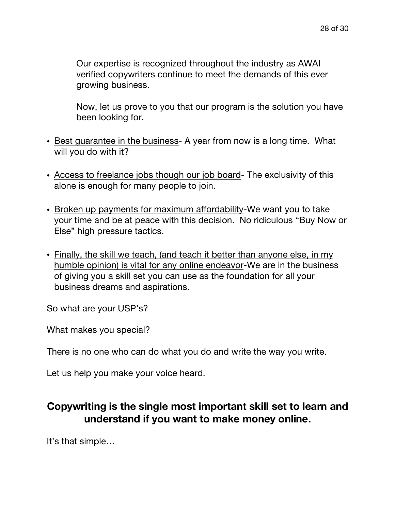Our expertise is recognized throughout the industry as AWAI verified copywriters continue to meet the demands of this ever growing business.

Now, let us prove to you that our program is the solution you have been looking for.

- Best guarantee in the business- A year from now is a long time. What will you do with it?
- ! Access to freelance jobs though our job board- The exclusivity of this alone is enough for many people to join.
- ! Broken up payments for maximum affordability-We want you to take your time and be at peace with this decision. No ridiculous "Buy Now or Else" high pressure tactics.
- Finally, the skill we teach, (and teach it better than anyone else, in my humble opinion) is vital for any online endeavor-We are in the business of giving you a skill set you can use as the foundation for all your business dreams and aspirations.

So what are your USP's?

What makes you special?

There is no one who can do what you do and write the way you write.

Let us help you make your voice heard.

# **Copywriting is the single most important skill set to learn and understand if you want to make money online.**

It's that simple…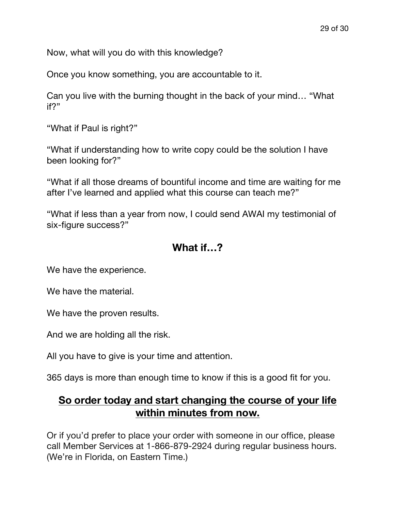Now, what will you do with this knowledge?

Once you know something, you are accountable to it.

Can you live with the burning thought in the back of your mind… "What if?"

"What if Paul is right?"

"What if understanding how to write copy could be the solution I have been looking for?"

"What if all those dreams of bountiful income and time are waiting for me after I've learned and applied what this course can teach me?"

"What if less than a year from now, I could send AWAI my testimonial of six-figure success?"

# **What if…?**

We have the experience.

We have the material.

We have the proven results.

And we are holding all the risk.

All you have to give is your time and attention.

365 days is more than enough time to know if this is a good fit for you.

### **So order today and start changing the course of your life within minutes from now.**

Or if you'd prefer to place your order with someone in our office, please call Member Services at 1-866-879-2924 during regular business hours. (We're in Florida, on Eastern Time.)